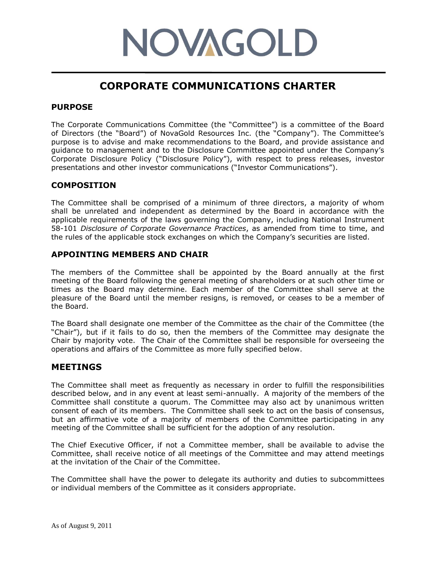# **NOVAGOLD**

# **CORPORATE COMMUNICATIONS CHARTER**

### **PURPOSE**

The Corporate Communications Committee (the "Committee") is a committee of the Board of Directors (the "Board") of NovaGold Resources Inc. (the "Company"). The Committee's purpose is to advise and make recommendations to the Board, and provide assistance and guidance to management and to the Disclosure Committee appointed under the Company's Corporate Disclosure Policy ("Disclosure Policy"), with respect to press releases, investor presentations and other investor communications ("Investor Communications").

### **COMPOSITION**

The Committee shall be comprised of a minimum of three directors, a majority of whom shall be unrelated and independent as determined by the Board in accordance with the applicable requirements of the laws governing the Company, including National Instrument 58-101 *Disclosure of Corporate Governance Practices*, as amended from time to time, and the rules of the applicable stock exchanges on which the Company's securities are listed.

### **APPOINTING MEMBERS AND CHAIR**

The members of the Committee shall be appointed by the Board annually at the first meeting of the Board following the general meeting of shareholders or at such other time or times as the Board may determine. Each member of the Committee shall serve at the pleasure of the Board until the member resigns, is removed, or ceases to be a member of the Board.

The Board shall designate one member of the Committee as the chair of the Committee (the "Chair"), but if it fails to do so, then the members of the Committee may designate the Chair by majority vote. The Chair of the Committee shall be responsible for overseeing the operations and affairs of the Committee as more fully specified below.

## **MEETINGS**

The Committee shall meet as frequently as necessary in order to fulfill the responsibilities described below, and in any event at least semi-annually. A majority of the members of the Committee shall constitute a quorum. The Committee may also act by unanimous written consent of each of its members. The Committee shall seek to act on the basis of consensus, but an affirmative vote of a majority of members of the Committee participating in any meeting of the Committee shall be sufficient for the adoption of any resolution.

The Chief Executive Officer, if not a Committee member, shall be available to advise the Committee, shall receive notice of all meetings of the Committee and may attend meetings at the invitation of the Chair of the Committee.

The Committee shall have the power to delegate its authority and duties to subcommittees or individual members of the Committee as it considers appropriate.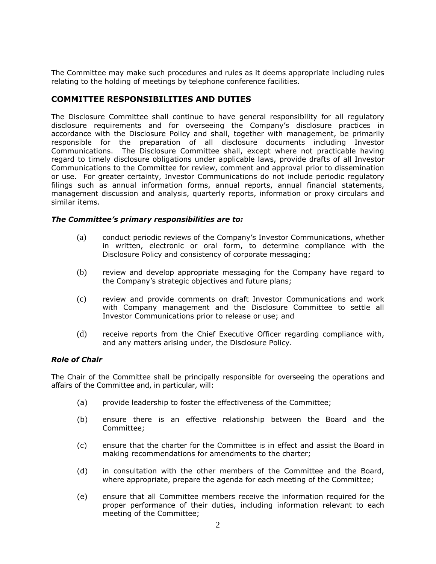The Committee may make such procedures and rules as it deems appropriate including rules relating to the holding of meetings by telephone conference facilities.

#### **COMMITTEE RESPONSIBILITIES AND DUTIES**

The Disclosure Committee shall continue to have general responsibility for all regulatory disclosure requirements and for overseeing the Company's disclosure practices in accordance with the Disclosure Policy and shall, together with management, be primarily responsible for the preparation of all disclosure documents including Investor Communications. The Disclosure Committee shall, except where not practicable having regard to timely disclosure obligations under applicable laws, provide drafts of all Investor Communications to the Committee for review, comment and approval prior to dissemination or use. For greater certainty, Investor Communications do not include periodic regulatory filings such as annual information forms, annual reports, annual financial statements, management discussion and analysis, quarterly reports, information or proxy circulars and similar items.

#### *The Committee's primary responsibilities are to:*

- (a) conduct periodic reviews of the Company's Investor Communications, whether in written, electronic or oral form, to determine compliance with the Disclosure Policy and consistency of corporate messaging;
- (b) review and develop appropriate messaging for the Company have regard to the Company's strategic objectives and future plans;
- (c) review and provide comments on draft Investor Communications and work with Company management and the Disclosure Committee to settle all Investor Communications prior to release or use; and
- (d) receive reports from the Chief Executive Officer regarding compliance with, and any matters arising under, the Disclosure Policy.

#### *Role of Chair*

The Chair of the Committee shall be principally responsible for overseeing the operations and affairs of the Committee and, in particular, will:

- (a) provide leadership to foster the effectiveness of the Committee;
- (b) ensure there is an effective relationship between the Board and the Committee;
- (c) ensure that the charter for the Committee is in effect and assist the Board in making recommendations for amendments to the charter;
- (d) in consultation with the other members of the Committee and the Board, where appropriate, prepare the agenda for each meeting of the Committee;
- (e) ensure that all Committee members receive the information required for the proper performance of their duties, including information relevant to each meeting of the Committee;